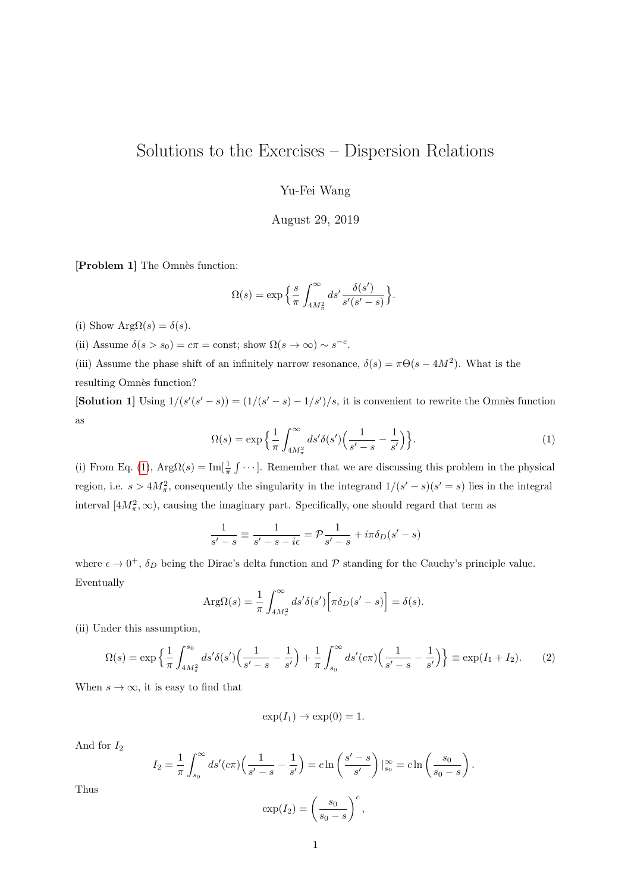## Solutions to the Exercises – Dispersion Relations

## Yu-Fei Wang

August 29, 2019

[Problem 1] The Omnès function:

$$
\Omega(s)=\exp\Big\{\frac{s}{\pi}\int_{4M_\pi^2}^\infty ds^\prime\frac{\delta(s^\prime)}{s^\prime(s^\prime-s)}\Big\}.
$$

(i) Show Arg $\Omega(s) = \delta(s)$ .

(ii) Assume  $\delta(s > s_0) = c\pi = \text{const};$  show  $\Omega(s \to \infty) \sim s^{-c}$ .

(iii) Assume the phase shift of an infinitely narrow resonance,  $\delta(s) = \pi \Theta(s - 4M^2)$ . What is the resulting Omnès function?

[Solution 1] Using  $1/(s'(s'-s)) = (1/(s'-s) - 1/s')/s$ , it is convenient to rewrite the Omnès function as

<span id="page-0-0"></span>
$$
\Omega(s) = \exp\left\{\frac{1}{\pi} \int_{4M_{\pi}^2}^{\infty} ds' \delta(s') \left(\frac{1}{s'-s} - \frac{1}{s'}\right) \right\}.
$$
 (1)

(i) From Eq. [\(1\)](#page-0-0),  $\text{Arg}\Omega(s) = \text{Im}[\frac{1}{\pi}\int \cdots]$ . Remember that we are discussing this problem in the physical region, i.e.  $s > 4M_{\pi}^2$ , consequently the singularity in the integrand  $1/(s'-s)(s'=s)$  lies in the integral interval  $[4M_{\pi}^2,\infty)$ , causing the imaginary part. Specifically, one should regard that term as

$$
\frac{1}{s'-s} \equiv \frac{1}{s'-s-i\epsilon} = \mathcal{P}\frac{1}{s'-s} + i\pi\delta_D(s'-s)
$$

where  $\epsilon \to 0^+$ ,  $\delta_D$  being the Dirac's delta function and  $\mathcal P$  standing for the Cauchy's principle value. Eventually

$$
\text{Arg}\Omega(s) = \frac{1}{\pi} \int_{4M_{\pi}^2}^{\infty} ds' \delta(s') \Big[ \pi \delta_D(s'-s) \Big] = \delta(s).
$$

(ii) Under this assumption,

<span id="page-0-1"></span>
$$
\Omega(s) = \exp\left\{\frac{1}{\pi} \int_{4M_{\pi}^2}^{s_0} ds' \delta(s') \left(\frac{1}{s'-s} - \frac{1}{s'}\right) + \frac{1}{\pi} \int_{s_0}^{\infty} ds'(c\pi) \left(\frac{1}{s'-s} - \frac{1}{s'}\right) \right\} \equiv \exp(I_1 + I_2). \tag{2}
$$

When  $s \to \infty$ , it is easy to find that

$$
\exp(I_1) \to \exp(0) = 1.
$$

And for  $I_2$ 

$$
I_2 = \frac{1}{\pi} \int_{s_0}^{\infty} ds'(c\pi) \left( \frac{1}{s' - s} - \frac{1}{s'} \right) = c \ln \left( \frac{s' - s}{s'} \right) \Big|_{s_0}^{\infty} = c \ln \left( \frac{s_0}{s_0 - s} \right).
$$

Thus

$$
\exp(I_2) = \left(\frac{s_0}{s_0 - s}\right)^c,
$$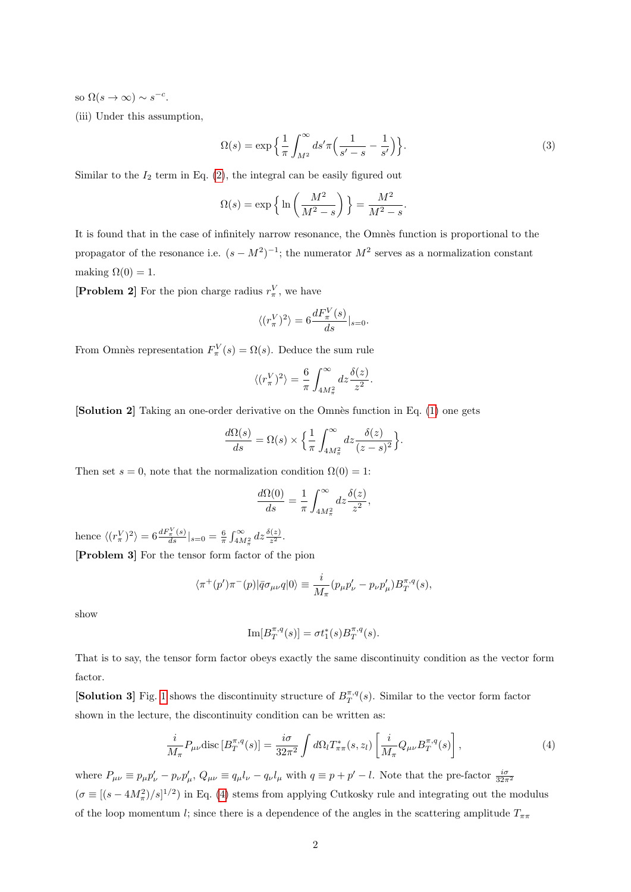so  $\Omega(s \to \infty) \sim s^{-c}$ .

(iii) Under this assumption,

$$
\Omega(s) = \exp\left\{\frac{1}{\pi} \int_{M^2}^{\infty} ds' \pi \left(\frac{1}{s' - s} - \frac{1}{s'}\right)\right\}.
$$
\n(3)

Similar to the  $I_2$  term in Eq. [\(2\)](#page-0-1), the integral can be easily figured out

$$
\Omega(s) = \exp\left\{\ln\left(\frac{M^2}{M^2 - s}\right)\right\} = \frac{M^2}{M^2 - s}.
$$

It is found that in the case of infinitely narrow resonance, the Omnès function is proportional to the propagator of the resonance i.e.  $(s - M^2)^{-1}$ ; the numerator  $M^2$  serves as a normalization constant making  $\Omega(0) = 1$ .

**[Problem 2]** For the pion charge radius  $r_{\pi}^V$ , we have

$$
\langle (r^V_\pi)^2 \rangle = 6 \frac{d F^V_\pi(s)}{ds}|_{s=0}.
$$

From Omnès representation  $F^V_\pi(s) = \Omega(s)$ . Deduce the sum rule

$$
\langle (r^V_{\pi})^2 \rangle = \frac{6}{\pi} \int_{4M_{\pi}^2}^{\infty} dz \frac{\delta(z)}{z^2}.
$$

[Solution 2] Taking an one-order derivative on the Omnès function in Eq. [\(1\)](#page-0-0) one gets

$$
\frac{d\Omega(s)}{ds} = \Omega(s) \times \left\{ \frac{1}{\pi} \int_{4M_{\pi}^2}^{\infty} dz \frac{\delta(z)}{(z-s)^2} \right\}.
$$

Then set  $s = 0$ , note that the normalization condition  $\Omega(0) = 1$ :

$$
\frac{d\Omega(0)}{ds} = \frac{1}{\pi} \int_{4M_{\pi}^2}^{\infty} dz \frac{\delta(z)}{z^2},
$$

hence  $\langle (r_{\pi}^{V})^{2} \rangle = 6 \frac{dF_{\pi}^{V}(s)}{ds}|_{s=0} = \frac{6}{\pi} \int_{4M_{\pi}^{2}}^{\infty} dz \frac{\delta(z)}{z^{2}}.$ 

[Problem 3] For the tensor form factor of the pion

$$
\langle \pi^+(p')\pi^-(p)|\bar{q}\sigma_{\mu\nu}q|0\rangle \equiv \frac{i}{M_\pi}(p_\mu p'_\nu - p_\nu p'_\mu)B_T^{\pi,q}(s),
$$

show

Im
$$
[B_T^{\pi,q}(s)] = \sigma t_1^*(s) B_T^{\pi,q}(s)
$$
.

That is to say, the tensor form factor obeys exactly the same discontinuity condition as the vector form factor.

[Solution 3] Fig. [1](#page-2-0) shows the discontinuity structure of  $B_T^{\pi,q}(s)$ . Similar to the vector form factor shown in the lecture, the discontinuity condition can be written as:

<span id="page-1-0"></span>
$$
\frac{i}{M_{\pi}}P_{\mu\nu}\text{disc}\left[B_{T}^{\pi,q}(s)\right] = \frac{i\sigma}{32\pi^{2}}\int d\Omega_{l}T_{\pi\pi}^{*}(s,z_{l})\left[\frac{i}{M_{\pi}}Q_{\mu\nu}B_{T}^{\pi,q}(s)\right],\tag{4}
$$

where  $P_{\mu\nu} \equiv p_{\mu}p'_{\nu} - p_{\nu}p'_{\mu}$ ,  $Q_{\mu\nu} \equiv q_{\mu}l_{\nu} - q_{\nu}l_{\mu}$  with  $q \equiv p + p' - l$ . Note that the pre-factor  $\frac{i\sigma}{32\pi^2}$  $(\sigma \equiv [(s-4M_{\pi}^2)/s]^{1/2})$  in Eq. [\(4\)](#page-1-0) stems from applying Cutkosky rule and integrating out the modulus of the loop momentum l; since there is a dependence of the angles in the scattering amplitude  $T_{\pi\pi}$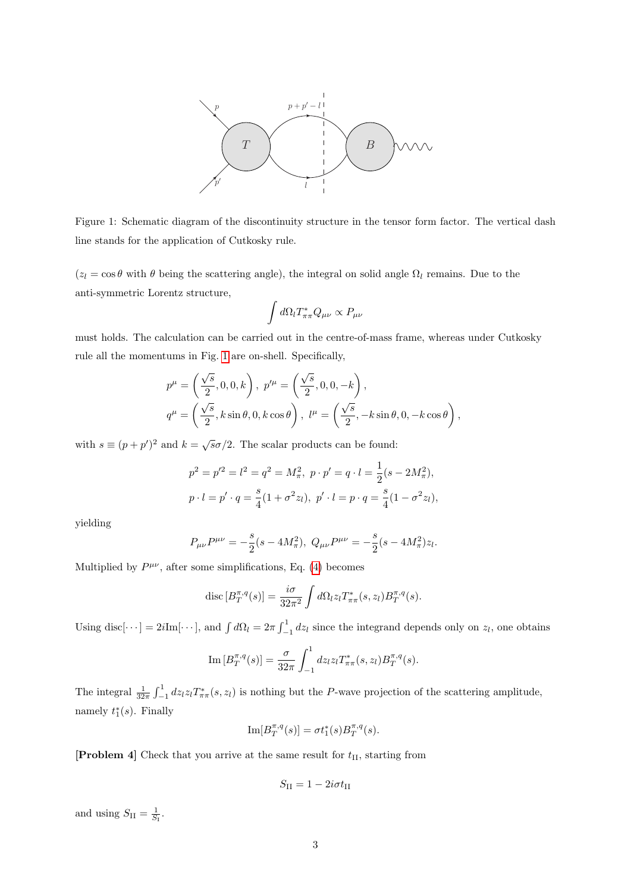

<span id="page-2-0"></span>Figure 1: Schematic diagram of the discontinuity structure in the tensor form factor. The vertical dash line stands for the application of Cutkosky rule.

 $(z_l = \cos \theta$  with  $\theta$  being the scattering angle), the integral on solid angle  $\Omega_l$  remains. Due to the anti-symmetric Lorentz structure,

$$
\int d\Omega_l T^*_{\pi\pi} Q_{\mu\nu} \propto P_{\mu\nu}
$$

must holds. The calculation can be carried out in the centre-of-mass frame, whereas under Cutkosky rule all the momentums in Fig. [1](#page-2-0) are on-shell. Specifically,

$$
\begin{split} p^{\mu} & = \left(\frac{\sqrt{s}}{2},0,0,k\right),\ p'^{\mu} = \left(\frac{\sqrt{s}}{2},0,0,-k\right),\\ q^{\mu} & = \left(\frac{\sqrt{s}}{2},k\sin\theta,0,k\cos\theta\right),\ l^{\mu} = \left(\frac{\sqrt{s}}{2},-k\sin\theta,0,-k\cos\theta\right), \end{split}
$$

with  $s \equiv (p+p')^2$  and  $k = \sqrt{s}\sigma/2$ . The scalar products can be found:

$$
p^{2} = p'^{2} = l^{2} = q^{2} = M_{\pi}^{2}, \ p \cdot p' = q \cdot l = \frac{1}{2}(s - 2M_{\pi}^{2}),
$$
  

$$
p \cdot l = p' \cdot q = \frac{s}{4}(1 + \sigma^{2}z_{l}), \ p' \cdot l = p \cdot q = \frac{s}{4}(1 - \sigma^{2}z_{l}),
$$

yielding

$$
P_{\mu\nu}P^{\mu\nu} = -\frac{s}{2}(s - 4M_{\pi}^2), \ Q_{\mu\nu}P^{\mu\nu} = -\frac{s}{2}(s - 4M_{\pi}^2)z_l.
$$

Multiplied by  $P^{\mu\nu}$ , after some simplifications, Eq. [\(4\)](#page-1-0) becomes

$$
\operatorname{disc}\left[B_T^{\pi,q}(s)\right] = \frac{i\sigma}{32\pi^2} \int d\Omega_l z_l T_{\pi\pi}^*(s, z_l) B_T^{\pi,q}(s).
$$

Using disc $[\cdots] = 2i\text{Im}[\cdots]$ , and  $\int d\Omega_l = 2\pi \int_{-1}^{1} dz_l$  since the integrand depends only on  $z_l$ , one obtains

Im 
$$
[B_T^{\pi,q}(s)] = \frac{\sigma}{32\pi} \int_{-1}^1 dz_i z_i T_{\pi\pi}^*(s, z_i) B_T^{\pi,q}(s).
$$

The integral  $\frac{1}{32\pi} \int_{-1}^{1} dz_l z_l T^*_{\pi\pi}(s, z_l)$  is nothing but the P-wave projection of the scattering amplitude, namely  $t_1^*(s)$ . Finally

$$
\mathrm{Im}[B_T^{\pi,q}(s)]=\sigma t_1^*(s)B_T^{\pi,q}(s).
$$

[Problem 4] Check that you arrive at the same result for  $t_{\text{II}}$ , starting from

$$
S_{\rm II} = 1 - 2i\sigma t_{\rm II}
$$

and using  $S_{\text{II}} = \frac{1}{S_{\text{I}}}$ .